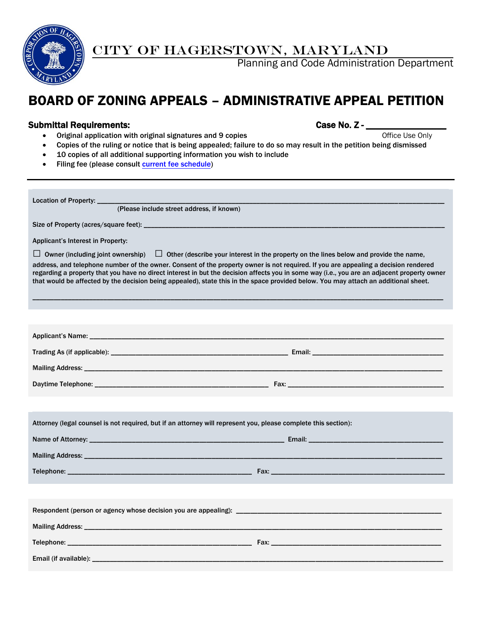

CITY OF HAGERSTOWN, MARYLAND

Planning and Code Administration Department

# BOARD OF ZONING APPEALS – ADMINISTRATIVE APPEAL PETITION

#### Submittal Requirements: Case No. Z - \_\_\_\_\_\_\_\_\_\_\_\_\_\_\_\_\_

Office Use Only

- Original application with original signatures and 9 copies
	- Copies of the ruling or notice that is being appealed; failure to do so may result in the petition being dismissed
- 10 copies of all additional supporting information you wish to include
- Filing fee (please consult [current fee schedule\)](http://www.hagerstownmd.org/DocumentCenter/Home/View/384)

Location of Property: \_\_\_ (Please include street address, if known) Size of Property (acres/square feet): \_\_ Applicant's Interest in Property:  $\Box$  Owner (including joint ownership)  $\Box$  Other (describe your interest in the property on the lines below and provide the name, address, and telephone number of the owner. Consent of the property owner is not required. If you are appealing a decision rendered regarding a property that you have no direct interest in but the decision affects you in some way (i.e., you are an adjacent property owner that would be affected by the decision being appealed), state this in the space provided below. You may attach an additional sheet. \_\_\_\_\_\_\_\_\_\_\_\_\_\_\_\_\_\_\_\_\_\_\_\_\_\_\_\_\_\_\_\_\_\_\_\_\_\_\_\_\_\_\_\_\_\_\_\_\_\_\_\_\_\_\_\_\_\_\_\_\_\_\_\_\_\_\_\_\_\_\_\_\_\_\_\_\_\_\_\_\_\_\_\_\_\_\_\_\_\_\_\_\_\_\_\_\_\_\_\_\_\_\_\_\_\_\_\_\_\_\_\_\_\_\_\_ Applicant's Name: \_\_\_\_\_\_\_\_\_\_\_\_\_\_\_\_\_\_\_\_\_\_\_\_\_\_\_\_\_\_\_\_\_\_\_\_\_\_\_\_\_\_\_\_\_\_\_\_\_\_\_\_\_\_\_\_\_\_\_\_\_\_\_\_\_\_\_\_\_\_\_\_\_\_\_\_\_\_\_\_\_\_\_\_\_\_\_\_\_\_\_\_\_\_\_\_\_\_\_\_ Trading As (if applicable): \_\_\_\_\_\_\_\_\_\_\_\_\_\_\_\_\_\_\_\_\_\_\_\_\_\_\_\_\_\_\_\_\_\_\_\_\_\_\_\_\_\_\_\_\_\_\_\_\_\_ Email: \_\_\_\_\_\_\_\_\_\_\_\_\_\_\_\_\_\_\_\_\_\_\_\_\_\_\_\_\_\_\_\_\_\_\_\_\_ Mailing Address: \_\_\_\_\_\_\_\_\_\_\_\_\_\_\_\_\_\_\_\_\_\_\_\_\_\_\_\_\_\_\_\_\_\_\_\_\_\_\_\_\_\_\_\_\_\_\_\_\_\_\_\_\_\_\_\_\_\_\_\_\_\_\_\_\_\_\_\_\_\_\_\_\_\_\_\_\_\_\_\_\_\_\_\_\_\_\_\_\_\_\_\_\_\_\_\_\_\_\_\_\_ Daytime Telephone: \_\_\_\_\_\_\_\_\_\_\_\_\_\_\_\_\_\_\_\_\_\_\_\_\_\_\_\_\_\_\_\_\_\_\_\_\_\_\_\_\_\_\_\_\_\_\_\_\_ Fax: \_\_\_\_\_\_\_\_\_\_\_\_\_\_\_\_\_\_\_\_\_\_\_\_\_\_\_\_\_\_\_\_\_\_\_\_\_\_\_\_\_\_\_\_ Attorney (legal counsel is not required, but if an attorney will represent you, please complete this section): Name of Attorney: \_\_\_\_\_\_\_\_\_\_\_\_\_\_\_\_\_\_\_\_\_\_\_\_\_\_\_\_\_\_\_\_\_\_\_\_\_\_\_\_\_\_\_\_\_\_\_\_\_\_\_\_\_\_\_ Email: \_\_\_\_\_\_\_\_\_\_\_\_\_\_\_\_\_\_\_\_\_\_\_\_\_\_\_\_\_\_\_\_\_\_\_\_\_\_ Mailing Address: \_\_\_\_\_\_\_\_\_\_\_\_\_\_\_\_\_\_\_\_\_\_\_\_\_\_\_\_\_\_\_\_\_\_\_\_\_\_\_\_\_\_\_\_\_\_\_\_\_\_\_\_\_\_\_\_\_\_\_\_\_\_\_\_\_\_\_\_\_\_\_\_\_\_\_\_\_\_\_\_\_\_\_\_\_\_\_\_\_\_\_\_\_\_\_\_\_\_\_\_\_ Telephone: \_\_\_\_\_\_\_\_\_\_\_\_\_\_\_\_\_\_\_\_\_\_\_\_\_\_\_\_\_\_\_\_\_\_\_\_\_\_\_\_\_\_\_\_\_\_\_\_\_\_\_\_ Fax: \_\_\_\_\_\_\_\_\_\_\_\_\_\_\_\_\_\_\_\_\_\_\_\_\_\_\_\_\_\_\_\_\_\_\_\_\_\_\_\_\_\_\_\_\_\_\_\_\_ Respondent (person or agency whose decision you are appealing): \_\_\_\_\_\_\_\_\_\_\_\_\_\_\_\_\_\_\_\_\_\_\_\_\_\_\_\_\_\_\_\_\_\_\_\_\_\_\_\_\_\_\_\_\_\_\_\_\_\_\_\_\_\_\_\_\_\_ Mailing Address: **Wailing Address: Wailing Address: Wailing Address: Wailing Address: Wailing Address: Wailing Address: Wailing Address: Wailing Address: Wailing Address: Wailing Address: Wailing Addres** Telephone:  $\blacksquare$ Email (if available): \_\_\_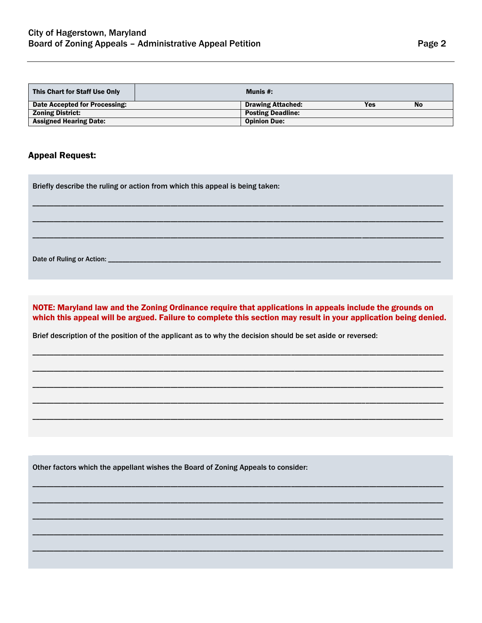| This Chart for Staff Use Only | Munis #:                 |     |           |
|-------------------------------|--------------------------|-----|-----------|
| Date Accepted for Processing: | <b>Drawing Attached:</b> | Yes | <b>No</b> |
| <b>Zoning District:</b>       | <b>Posting Deadline:</b> |     |           |
| <b>Assigned Hearing Date:</b> | <b>Opinion Due:</b>      |     |           |

## **Appeal Request:**

Briefly describe the ruling or action from which this appeal is being taken:

Date of Ruling or Action: \_\_

NOTE: Maryland law and the Zoning Ordinance require that applications in appeals include the grounds on which this appeal will be argued. Failure to complete this section may result in your application being denied.

Brief description of the position of the applicant as to why the decision should be set aside or reversed:

Other factors which the appellant wishes the Board of Zoning Appeals to consider: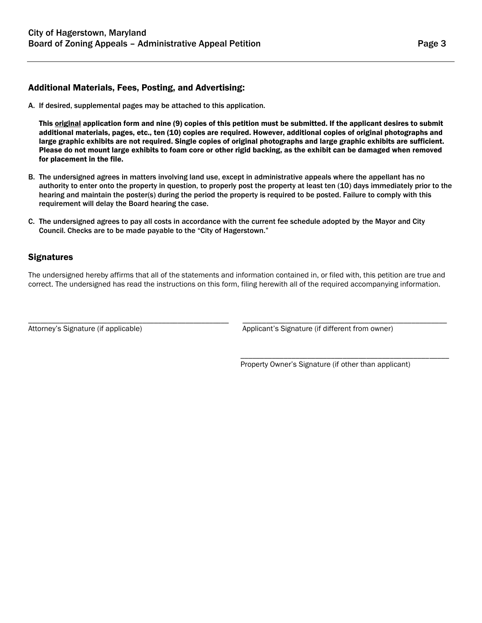## Additional Materials, Fees, Posting, and Advertising:

A. If desired, supplemental pages may be attached to this application.

This **original** application form and nine (9) copies of this petition must be submitted. If the applicant desires to submit additional materials, pages, etc., ten (10) copies are required. However, additional copies of original photographs and large graphic exhibits are not required. Single copies of original photographs and large graphic exhibits are sufficient. Please do not mount large exhibits to foam core or other rigid backing, as the exhibit can be damaged when removed for placement in the file.

- B. The undersigned agrees in matters involving land use, except in administrative appeals where the appellant has no authority to enter onto the property in question, to properly post the property at least ten (10) days immediately prior to the hearing and maintain the poster(s) during the period the property is required to be posted. Failure to comply with this requirement will delay the Board hearing the case.
- C. The undersigned agrees to pay all costs in accordance with the current fee schedule adopted by the Mayor and City Council. Checks are to be made payable to the "City of Hagerstown."

#### **Signatures**

The undersigned hereby affirms that all of the statements and information contained in, or filed with, this petition are true and correct. The undersigned has read the instructions on this form, filing herewith all of the required accompanying information.

\_\_\_\_\_\_\_\_\_\_\_\_\_\_\_\_\_\_\_\_\_\_\_\_\_\_\_\_\_\_\_\_\_\_\_\_\_\_\_\_\_\_\_\_\_\_\_\_\_\_\_ \_\_\_\_\_\_\_\_\_\_\_\_\_\_\_\_\_\_\_\_\_\_\_\_\_\_\_\_\_\_\_\_\_\_\_\_\_\_\_\_\_\_\_\_\_\_\_\_\_\_\_\_

Attorney's Signature (if applicable) Applicant's Signature (if different from owner)

Property Owner's Signature (if other than applicant)

\_\_\_\_\_\_\_\_\_\_\_\_\_\_\_\_\_\_\_\_\_\_\_\_\_\_\_\_\_\_\_\_\_\_\_\_\_\_\_\_\_\_\_\_\_\_\_\_\_\_\_\_\_